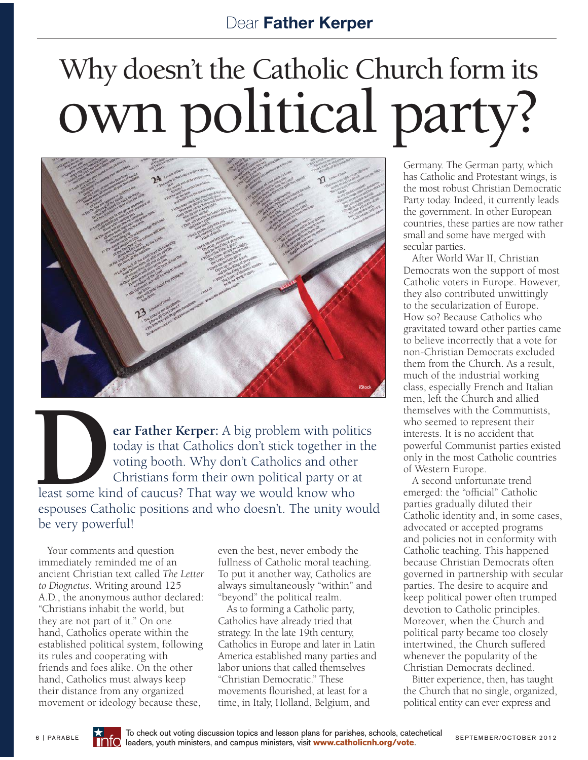## Why doesn't the Catholic Church form its why doesn't the Catholic Church form its<br>OWN political party?



**Pear Father Kerper:** A big problem with politics today is that Catholics don't stick together in the voting booth. Why don't Catholics and other Christians form their own political party or at today is that Catholics don't stick together in the voting booth. Why don't Catholics and other Christians form their own political party or at least some kind of caucus? That way we would know who espouses Catholic positions and who doesn't. The unity would be very powerful!

Your comments and question immediately reminded me of an ancient Christian text called *The Letter to Diognetus*. Writing around 125 A.D., the anonymous author declared: "Christians inhabit the world, but they are not part of it." On one hand, Catholics operate within the established political system, following its rules and cooperating with friends and foes alike. On the other hand, Catholics must always keep their distance from any organized movement or ideology because these,

even the best, never embody the fullness of Catholic moral teaching. To put it another way, Catholics are always simultaneously "within" and "beyond" the political realm.

As to forming a Catholic party, Catholics have already tried that strategy. In the late 19th century, Catholics in Europe and later in Latin America established many parties and labor unions that called themselves "Christian Democratic." These movements flourished, at least for a time, in Italy, Holland, Belgium, and

Germany. The German party, which has Catholic and Protestant wings, is the most robust Christian Democratic Party today. Indeed, it currently leads the government. In other European countries, these parties are now rather small and some have merged with secular parties.

After World War II, Christian Democrats won the support of most Catholic voters in Europe. However, they also contributed unwittingly to the secularization of Europe. How so? Because Catholics who gravitated toward other parties came to believe incorrectly that a vote for non-Christian Democrats excluded them from the Church. As a result, much of the industrial working class, especially French and Italian men, left the Church and allied themselves with the Communists, who seemed to represent their interests. It is no accident that powerful Communist parties existed only in the most Catholic countries of Western Europe.

A second unfortunate trend emerged: the "official" Catholic parties gradually diluted their Catholic identity and, in some cases, advocated or accepted programs and policies not in conformity with Catholic teaching. This happened because Christian Democrats often governed in partnership with secular parties. The desire to acquire and keep political power often trumped devotion to Catholic principles. Moreover, when the Church and political party became too closely intertwined, the Church suffered whenever the popularity of the Christian Democrats declined.

Bitter experience, then, has taught the Church that no single, organized, political entity can ever express and



To check out voting discussion topics and lesson plans for parishes, schools, catechetical 6 | PARABLE **THO** leaders, youth ministers, and campus ministers, visit **www.catholicnh.org/vote**. SEPTEMBER/OCTOBER 2012